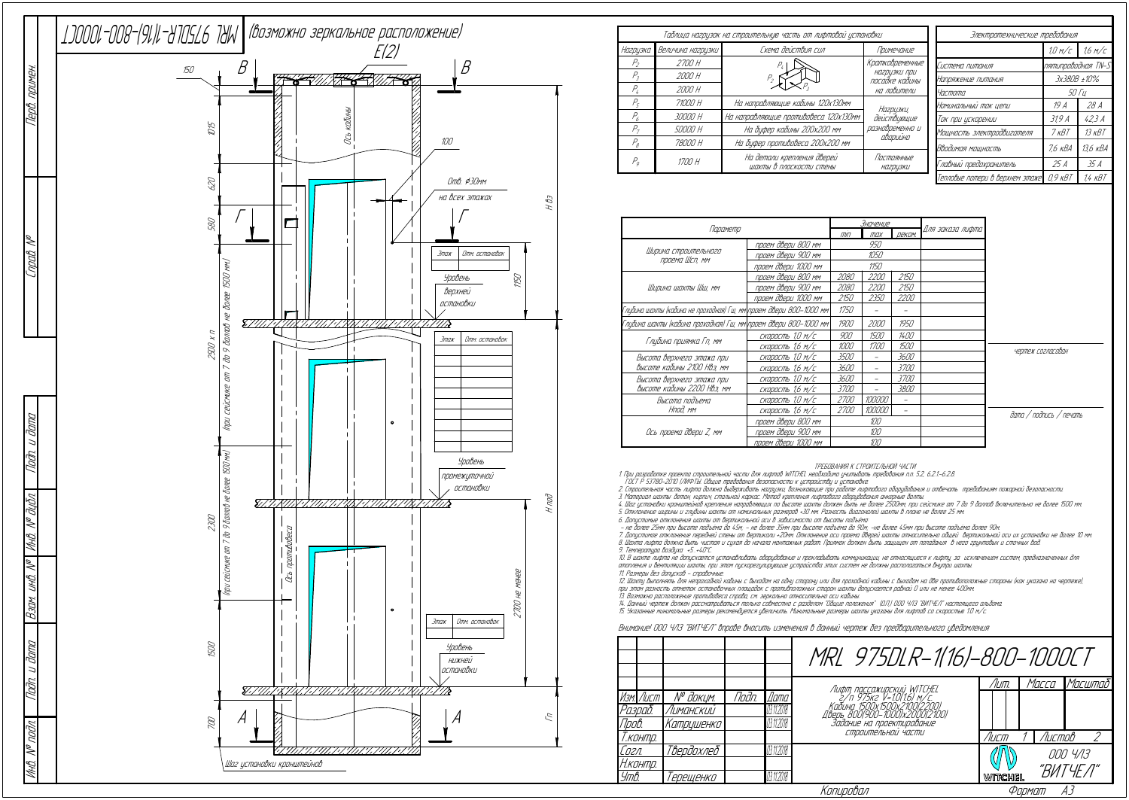|                                                                    | <u>Значение</u>     |             |               |                  |  |
|--------------------------------------------------------------------|---------------------|-------------|---------------|------------------|--|
| Параметр                                                           | III                 | max         | <b>ДРКОМ.</b> | Для заказа лифта |  |
|                                                                    | проем двери 800 мм  |             | 950           |                  |  |
| Ширина строительного<br>проема Шсп, мм                             | проем двери 900 мм  |             | 1050          |                  |  |
|                                                                    | проем двери 1000 мм | 1150        |               |                  |  |
|                                                                    | проем двери 800 мм  | 2080        | <i>2200</i>   | 2150             |  |
| Ширина шахты Шш, мм                                                | проем двери 900 мм  | 2080        | <i>2200</i>   | 2150             |  |
|                                                                    | проем двери 1000 мм | 2150        | 2350          | <i>2200</i>      |  |
| Глибина шахты (кабина не проходная) Гш, мм\проем двери 800–1000 мм |                     | 1750        |               |                  |  |
| Глубина шахты (кабина проходная) Гш, мм\проем двери 800–1000 мм\   |                     | 1900        | 2000          | 1950             |  |
|                                                                    | скорость 1,0 м/с    | 900         | 1500          | 1400             |  |
| Глубина приямка Гп, мм                                             | скорость 1,6 м/с    | 1000        | <i>1700</i>   | 1500             |  |
| Высота верхнего этажа при                                          | скорость 1,0 м/с    | 3500        |               | 3600             |  |
| высоте кабины 2100 Нвэ, мм                                         | скорость 1,6 м/с    | 3600        |               | <i>3700</i>      |  |
| Высота верхнего этажа при                                          | скорость 1,0 м/с    | 3600        |               | 3700             |  |
| Высоте кабины 2200 НВэ, мм                                         | скорость 1,6 м/с    | <i>3700</i> |               | 3800             |  |
| Высота подъема                                                     | скорость 1,0 м/с    | <i>2700</i> | 100000        |                  |  |
| Нпод, мм                                                           | скорость 1,6 м/с    | <i>2700</i> | 100000        |                  |  |
|                                                                    | проем двери 800 мм  | 100         |               |                  |  |
| Ось проема двери Z, мм                                             | проем двери 900 мм  | 100         |               |                  |  |
|                                                                    | проем двери 1000 мм |             | 100           |                  |  |

ТРЕБОВАНИЯ К СТРОИТЕЛЬНОЙ ЧАСТИ

1. При разработке проекта строительной части для лифтов WITCHEL необходимо учитывать требования <sup>п</sup>.п. 5.2, 6.2.1.-6.2.8.

ГОСТ Р 53780-2010 (ЛИФТЫ. Общие требования безопасности <sup>к</sup> устройству <sup>и</sup> установке.

2. Строительная часть лифта должна выдерживать нагрузки, возникающие при работе лифтового оборудования <sup>и</sup> отвечать требованиям пожарной безопасности.

3. Материал шахты: бетон, кирпич, стальной каркас. Метод крепления лифтового оборудования анкерные болты.

4. Шаг установки кронштейнов крепления направляющих по высоте шахты должен быть не более 2500мм, при сейсмике от 7 до 9 баллов включительно не более 1500 мм. 5. Отклонение ширины <sup>и</sup> глубины шахты от номинальных размеров +30 мм. Разность диагоналей шахты в плане не более 25 мм.

6. Допустимые отклонения шахты от вертикальной оси в зависимости от высоты подъёма:<br>– не более 25мм при высоте подъёма до 45м; – не более 35мм при высоте подъёма до 90м; -не более 45мм при высоте подъёма более 90м

7. Допустимое отклонение передней стены от вертикали +20мм. Отклонение оси проема дверей шахты относительно общей вертикальной оси их установки не более 10 мм. 8. Шахта лифта должна быть чистая <sup>и</sup> сухая до начала монтажных работ. Приямок должен быть защищен от попадания в него грунтовых <sup>и</sup> сточных вод.

9. Температура воздуха +5…+40°С.

10. В шахте лифта не допускается устанавливать оборудование <sup>и</sup> прокладывать коммуникации, не относящиеся <sup>к</sup> лифту, за исключением систем, предназначенных для отопления <sup>и</sup> вентиляции шахты, при этом пускорегулирующие устройства этих систем не должны располагаться внутри шахты. 11. Размеры без допусков - справочные.

|           |                           |       |            | MRL 975DLR-1(16)-800-1000CT                                   |         |        |          |  |
|-----------|---------------------------|-------|------------|---------------------------------------------------------------|---------|--------|----------|--|
|           |                           |       |            |                                                               | /Іит.   | Macca  | Масштаб  |  |
| Изм. Лист | N° докцм.                 | Noðn. | Дата       | Лифт пассажирский WITCHEL<br>г/п 975кг V=1.0(1.6) м/с.        |         |        |          |  |
| Разраб.   | Лиманский                 |       | 03.11.2018 | Кабина 1500х1500х2100(2200)<br>Дверь 8001900-10001х2000121001 |         |        |          |  |
| Npob.     | Катрцшенко                |       | 03.11.2018 | Задание на проектирование                                     |         |        |          |  |
| Т.контр.  |                           |       |            | СТООИТЕЛЬНОЙ ЧАСТИ                                            | Лист    | Листов |          |  |
| Согл.     | Твердохлеб                |       | 03.11.2018 |                                                               |         |        | 000 4/13 |  |
| Н.контр.  |                           |       |            |                                                               |         |        | "ВИТЧЕЛ" |  |
| Утв.      | 'ерещенко                 |       | 03.11.2018 |                                                               | WITCHEL |        |          |  |
|           | Копировал<br>AЗ<br>Формат |       |            |                                                               |         |        |          |  |

12. Шахту выполнять для непроходной кабины <sup>с</sup> выходом на одну сторону или для проходной кабины <sup>с</sup> выходом на две противоположные стороны (как указано на чертеже), при этом разность отметок остановочных площадок <sup>с</sup> противположных сторон шахты допускается равной 0 или не менее 400мм.

13. Возможно расположение противовеса справа, см. зеркально относительно оси кабины.<br>14. Данный чертеж должен рассматриваться только совместно с разделом "Общие положения" (О.П.) ООО ЧЛЗ "ВИТЧЕЛ" настоящего альбома.<br>15. У

Внимание! ООО ЧЛЗ "ВИТЧЕЛ" вправе вносить изменения в данный чертеж без предварительного уведомления

|                            |                   | Таблица нагрцзок на строительную часть от лифтовой установки | Электротехнические требования  |                                 |                    |              |  |
|----------------------------|-------------------|--------------------------------------------------------------|--------------------------------|---------------------------------|--------------------|--------------|--|
| Нагрузка                   | Величина нагризки | Схема действия сил                                           | Примечание                     |                                 | $1,0$ M/C          | 1.6 M/C      |  |
| $P_{\scriptscriptstyle 2}$ | 2700 H            |                                                              | Кратковременные                | Система питания                 | nятипроводная TN-S |              |  |
| Р,                         | 2000 H            |                                                              | НАГРИЗКИ ПРИ<br>посадке кабины | Напряжение питания              | 3x380B ±10%        |              |  |
| Р,                         | 2000 H            |                                                              | на ловители                    | Частота                         |                    | <i>50 Tu</i> |  |
| Pc                         | 71000 H           | На направляющие кабины 120х130мм                             | Нагрцзки,                      | Номинальный ток цепи            | 19 A               | 28A          |  |
| P,                         | 30000 H           | На направляющие противовеса 120х130мм                        | действующие                    | Ток при цскорении               | 319A               | 42.3A        |  |
| $P_{\tau}$                 | 50000 H           | На буфер кабины 200х200 мм                                   | разновременно и<br>аварийно    | Мощность электродвигателя       | 7 кВТ              | $13$ $KBT$   |  |
| $P_{g}$                    | 78000 H           | На буфер противовеса 200х200 мм                              |                                | Вводимая мощность               | 7.6 кВА            | 13.6 кВА     |  |
| $P_{o}$                    | 1700 H            | На детали крепления дверей<br>шахты в плоскости стены        | Постоянные<br>НА2ДЦЗКИ         | Главный предохранитель          | 25 A               | 35A          |  |
|                            |                   |                                                              |                                | Тепловые потери в верхнем этаже | $0.9$ $\kappa$ BT  | 1,4 кВТ      |  |

дата / подпись / печать

чертеж согласован



|                     |           |                       |       |            | MRL 975DLR-1(16)-800-1000L                                                               |         |        |   |
|---------------------|-----------|-----------------------|-------|------------|------------------------------------------------------------------------------------------|---------|--------|---|
|                     |           |                       |       |            |                                                                                          | Лит.    | Macca  | M |
|                     | Изм. Лист | N <sup>o</sup> докум. | Noðn. | Дата       | Лифт пассажирский WITCHEL<br>2/п 975кг V=1.0(1.6) м/с.<br>Кабина 15.00х1500х2,100(22.00) |         |        |   |
|                     | Разраб.   | Лиманский             |       | 03.11.2018 |                                                                                          |         |        |   |
| <i><b>Πров.</b></i> |           | <i>Сатрцшенко</i>     |       | 03.11.2018 |                                                                                          |         |        |   |
|                     | Г. КОНПО. |                       |       |            | СТРОИТЕЛЬНОИ ЧАСТИ                                                                       | /Іист   | Листов |   |
| Согл.               |           | Твердохлеб            |       | 03.11.2018 |                                                                                          |         | OOO 4  |   |
|                     | Н.контр.  |                       |       |            |                                                                                          |         |        |   |
| Утв.                |           | 'ерещенко             |       | 03.11.2018 |                                                                                          | WITCHEL |        |   |